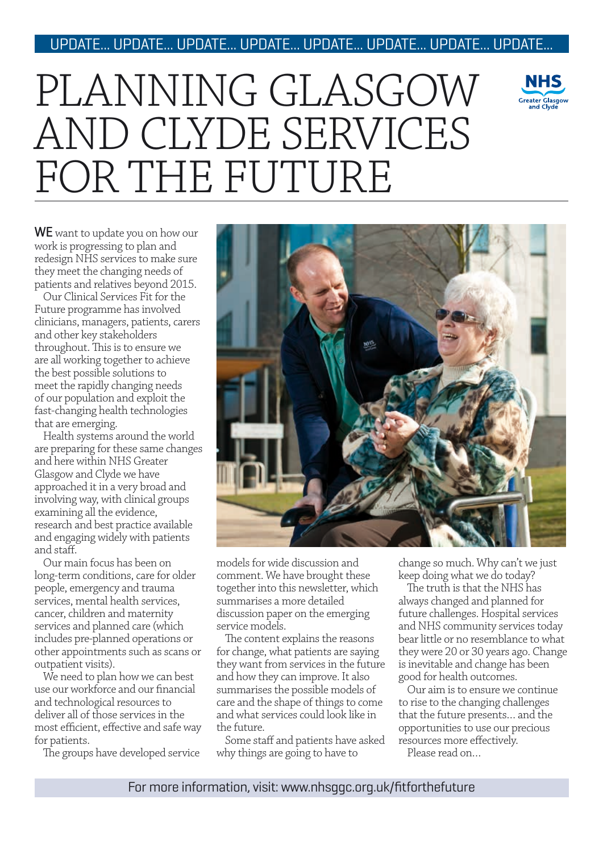### UPDATE... UPDATE... UPDATE... UPDATE... UPDATE... UPDATE... UPDATE... UPDATE...

# PLANNING GLASGOW AND CLYDE SERVICES FOR THE FUTURE



WE want to update you on how our work is progressing to plan and redesign NHS services to make sure they meet the changing needs of patients and relatives beyond 2015.

Our Clinical Services Fit for the Future programme has involved clinicians, managers, patients, carers and other key stakeholders throughout. This is to ensure we are all working together to achieve the best possible solutions to meet the rapidly changing needs of our population and exploit the fast-changing health technologies that are emerging.

Health systems around the world are preparing for these same changes and here within NHS Greater Glasgow and Clyde we have approached it in a very broad and involving way, with clinical groups examining all the evidence, research and best practice available and engaging widely with patients and staff.

Our main focus has been on long-term conditions, care for older people, emergency and trauma services, mental health services, cancer, children and maternity services and planned care (which includes pre-planned operations or other appointments such as scans or outpatient visits).

We need to plan how we can best use our workforce and our financial and technological resources to deliver all of those services in the most efficient, effective and safe way for patients.

The groups have developed service



models for wide discussion and comment. We have brought these together into this newsletter, which summarises a more detailed discussion paper on the emerging service models.

The content explains the reasons for change, what patients are saying they want from services in the future and how they can improve. It also summarises the possible models of care and the shape of things to come and what services could look like in the future.

Some staff and patients have asked why things are going to have to

change so much. Why can't we just keep doing what we do today?

The truth is that the NHS has always changed and planned for future challenges. Hospital services and NHS community services today bear little or no resemblance to what they were 20 or 30 years ago. Change is inevitable and change has been good for health outcomes.

Our aim is to ensure we continue to rise to the changing challenges that the future presents… and the opportunities to use our precious resources more effectively. Please read on…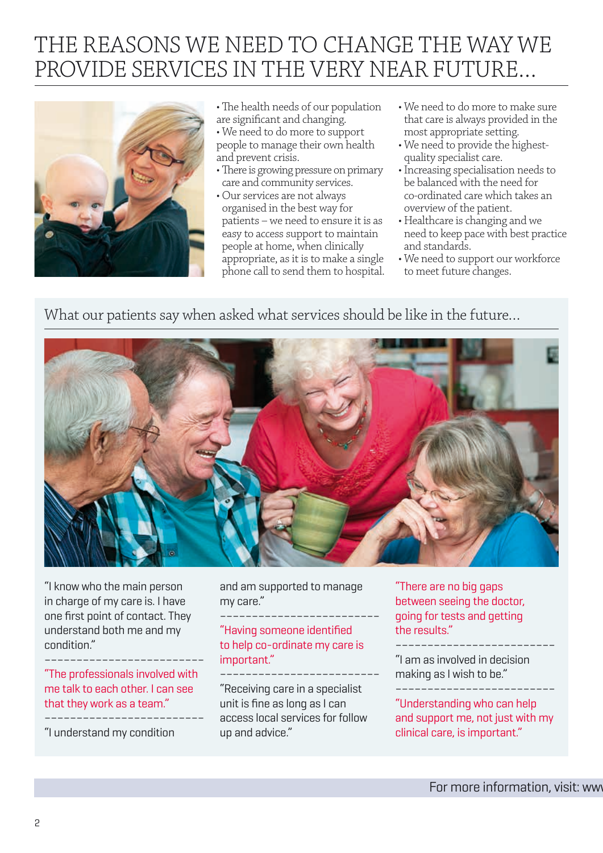### THE REASONS WE NEED TO CHANGE THE WAY WE PROVIDE SERVICES IN THE VERY NEAR FUTURE…



- The health needs of our population are significant and changing.
- We need to do more to support people to manage their own health and prevent crisis.
- There is growing pressure on primary care and community services.
- Our services are not always organised in the best way for patients – we need to ensure it is as easy to access support to maintain people at home, when clinically appropriate, as it is to make a single phone call to send them to hospital.
- We need to do more to make sure that care is always provided in the most appropriate setting.
- We need to provide the highestquality specialist care.
- Increasing specialisation needs to be balanced with the need for co-ordinated care which takes an overview of the patient.
- Healthcare is changing and we need to keep pace with best practice and standards.
- We need to support our workforce to meet future changes.

### What our patients say when asked what services should be like in the future…



"I know who the main person in charge of my care is. I have one first point of contact. They understand both me and my condition."

"The professionals involved with me talk to each other. I can see that they work as a team."

"I understand my condition

–––––––––––––––––––––––––

and am supported to manage my care."

### ––––––––––––––––––––––––– "Having someone identified to help co-ordinate my care is important."

––––––––––––––––––––––––– "Receiving care in a specialist unit is fine as long as I can access local services for follow up and advice."

"There are no big gaps between seeing the doctor, going for tests and getting the results."

––––––––––––––––––––––––– "I am as involved in decision making as I wish to be." –––––––––––––––––––––––––

"Understanding who can help and support me, not just with my clinical care, is important."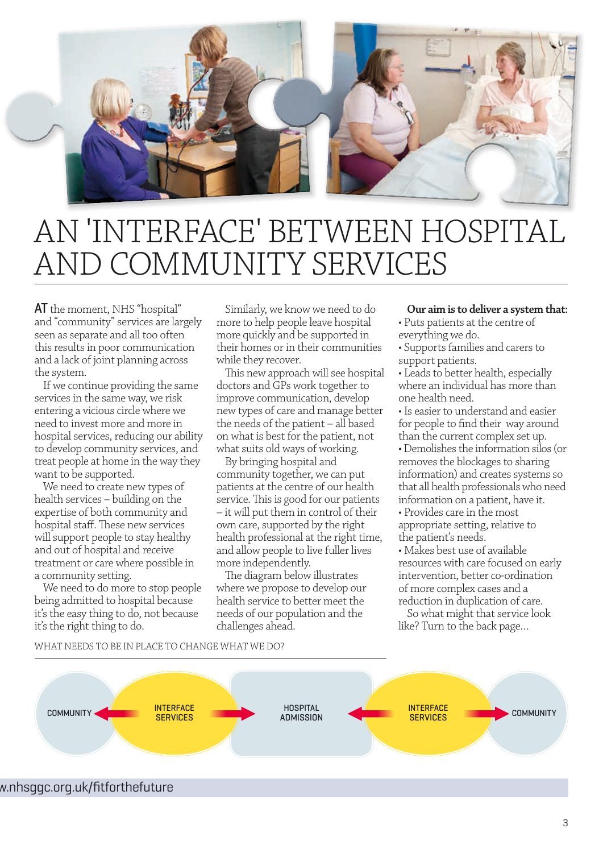

### AN 'INTERFACE' BETWEEN HOSPITAL AND COMMUNITY SERVICES

AT the moment, NHS "hospital" and "community" services are largely seen as separate and all too often this results in poor communication and a lack of joint planning across the system.

If we continue providing the same services in the same way, we risk entering a vicious circle where we need to invest more and more in hospital services, reducing our ability to develop community services, and treat people at home in the way they want to be supported.

We need to create new types of health services – building on the expertise of both community and hospital staff. These new services will support people to stay healthy and out of hospital and receive treatment or care where possible in a community setting.

We need to do more to stop people being admitted to hospital because it's the easy thing to do, not because it's the right thing to do.

Similarly, we know we need to do more to help people leave hospital more quickly and be supported in their homes or in their communities while they recover.

This new approach will see hospital doctors and GPs work together to improve communication, develop new types of care and manage better the needs of the patient – all based on what is best for the patient, not what suits old ways of working.

By bringing hospital and community together, we can put patients at the centre of our health service. This is good for our patients – it will put them in control of their own care, supported by the right health professional at the right time, and allow people to live fuller lives more independently.

The diagram below illustrates where we propose to develop our health service to better meet the needs of our population and the challenges ahead.

#### **Our aim is to deliver a system that:**

- Puts patients at the centre of everything we do.
- Supports families and carers to support patients.
- Leads to better health, especially where an individual has more than one health need.
- Is easier to understand and easier for people to find their way around than the current complex set up.
- Demolishes the information silos (or removes the blockages to sharing information) and creates systems so that all health professionals who need information on a patient, have it.
- Provides care in the most appropriate setting, relative to the patient's needs.

• Makes best use of available resources with care focused on early intervention, better co-ordination of more complex cases and a reduction in duplication of care.

So what might that service look like? Turn to the back page…

#### WHAT NEEDS TO BE IN PLACE TO CHANGE WHAT WE DO?



### w.nhsggc.org.uk/fitforthefuture